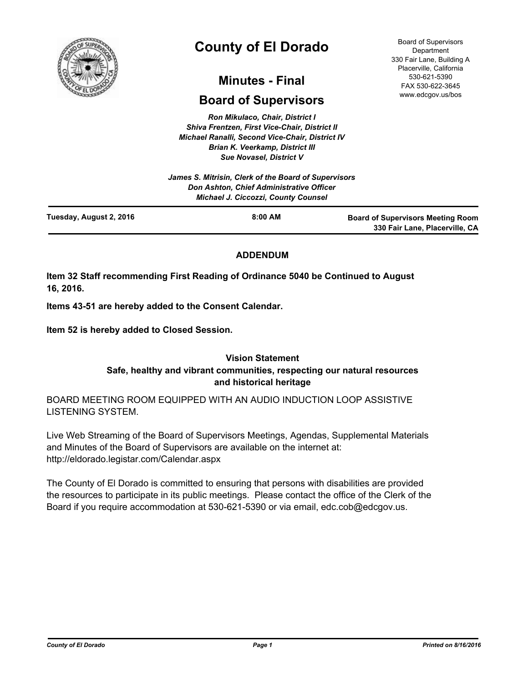

# **County of El Dorado**

## **Minutes - Final**

## **Board of Supervisors**

*Ron Mikulaco, Chair, District I Shiva Frentzen, First Vice-Chair, District II Michael Ranalli, Second Vice-Chair, District IV Brian K. Veerkamp, District III Sue Novasel, District V* 

|                         | James S. Mitrisin, Clerk of the Board of Supervisors<br><b>Don Ashton, Chief Administrative Officer</b><br><b>Michael J. Ciccozzi, County Counsel</b> |                                                                            |
|-------------------------|-------------------------------------------------------------------------------------------------------------------------------------------------------|----------------------------------------------------------------------------|
| Tuesday, August 2, 2016 | $8:00$ AM                                                                                                                                             | <b>Board of Supervisors Meeting Room</b><br>330 Fair Lane, Placerville, CA |

### **ADDENDUM**

**Item 32 Staff recommending First Reading of Ordinance 5040 be Continued to August 16, 2016.**

**Items 43-51 are hereby added to the Consent Calendar.**

**Item 52 is hereby added to Closed Session.**

## **Vision Statement Safe, healthy and vibrant communities, respecting our natural resources and historical heritage**

BOARD MEETING ROOM EQUIPPED WITH AN AUDIO INDUCTION LOOP ASSISTIVE LISTENING SYSTEM.

Live Web Streaming of the Board of Supervisors Meetings, Agendas, Supplemental Materials and Minutes of the Board of Supervisors are available on the internet at: http://eldorado.legistar.com/Calendar.aspx

The County of El Dorado is committed to ensuring that persons with disabilities are provided the resources to participate in its public meetings. Please contact the office of the Clerk of the Board if you require accommodation at 530-621-5390 or via email, edc.cob@edcgov.us.

Board of Supervisors **Department** 330 Fair Lane, Building A Placerville, California 530-621-5390 FAX 530-622-3645 www.edcgov.us/bos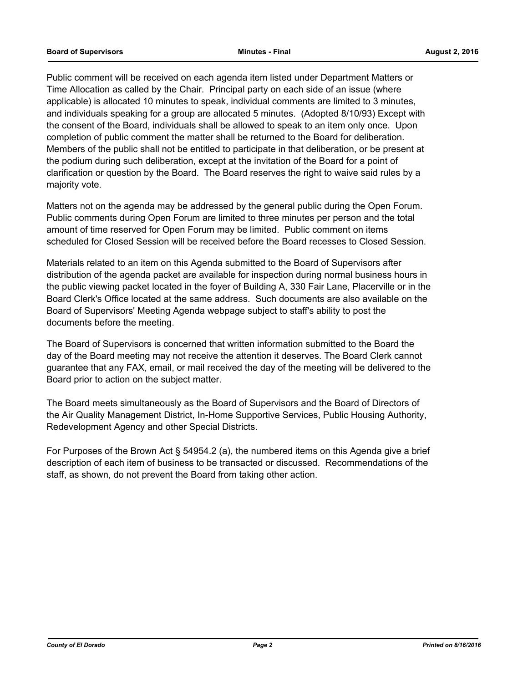Public comment will be received on each agenda item listed under Department Matters or Time Allocation as called by the Chair. Principal party on each side of an issue (where applicable) is allocated 10 minutes to speak, individual comments are limited to 3 minutes, and individuals speaking for a group are allocated 5 minutes. (Adopted 8/10/93) Except with the consent of the Board, individuals shall be allowed to speak to an item only once. Upon completion of public comment the matter shall be returned to the Board for deliberation. Members of the public shall not be entitled to participate in that deliberation, or be present at the podium during such deliberation, except at the invitation of the Board for a point of clarification or question by the Board. The Board reserves the right to waive said rules by a majority vote.

Matters not on the agenda may be addressed by the general public during the Open Forum. Public comments during Open Forum are limited to three minutes per person and the total amount of time reserved for Open Forum may be limited. Public comment on items scheduled for Closed Session will be received before the Board recesses to Closed Session.

Materials related to an item on this Agenda submitted to the Board of Supervisors after distribution of the agenda packet are available for inspection during normal business hours in the public viewing packet located in the foyer of Building A, 330 Fair Lane, Placerville or in the Board Clerk's Office located at the same address. Such documents are also available on the Board of Supervisors' Meeting Agenda webpage subject to staff's ability to post the documents before the meeting.

The Board of Supervisors is concerned that written information submitted to the Board the day of the Board meeting may not receive the attention it deserves. The Board Clerk cannot guarantee that any FAX, email, or mail received the day of the meeting will be delivered to the Board prior to action on the subject matter.

The Board meets simultaneously as the Board of Supervisors and the Board of Directors of the Air Quality Management District, In-Home Supportive Services, Public Housing Authority, Redevelopment Agency and other Special Districts.

For Purposes of the Brown Act § 54954.2 (a), the numbered items on this Agenda give a brief description of each item of business to be transacted or discussed. Recommendations of the staff, as shown, do not prevent the Board from taking other action.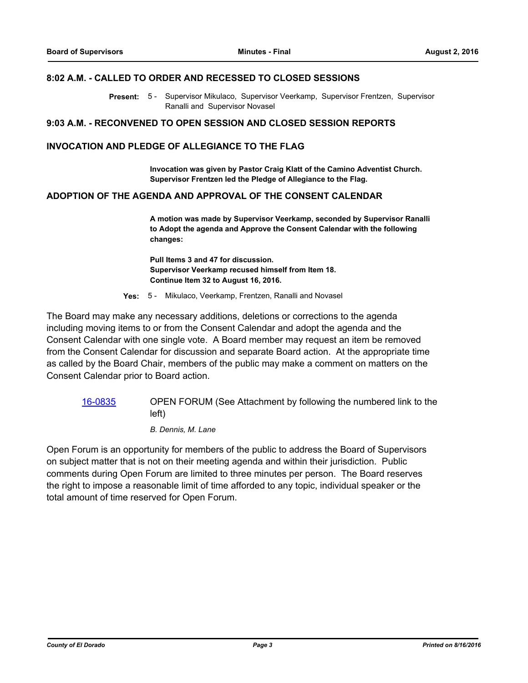#### **8:02 A.M. - CALLED TO ORDER AND RECESSED TO CLOSED SESSIONS**

Present: 5 - Supervisor Mikulaco, Supervisor Veerkamp, Supervisor Frentzen, Supervisor Ranalli and Supervisor Novasel

#### **9:03 A.M. - RECONVENED TO OPEN SESSION AND CLOSED SESSION REPORTS**

#### **INVOCATION AND PLEDGE OF ALLEGIANCE TO THE FLAG**

**Invocation was given by Pastor Craig Klatt of the Camino Adventist Church. Supervisor Frentzen led the Pledge of Allegiance to the Flag.**

#### **ADOPTION OF THE AGENDA AND APPROVAL OF THE CONSENT CALENDAR**

**A motion was made by Supervisor Veerkamp, seconded by Supervisor Ranalli to Adopt the agenda and Approve the Consent Calendar with the following changes:**

**Pull Items 3 and 47 for discussion. Supervisor Veerkamp recused himself from Item 18. Continue Item 32 to August 16, 2016.**

**Yes:** 5 - Mikulaco, Veerkamp, Frentzen, Ranalli and Novasel

The Board may make any necessary additions, deletions or corrections to the agenda including moving items to or from the Consent Calendar and adopt the agenda and the Consent Calendar with one single vote. A Board member may request an item be removed from the Consent Calendar for discussion and separate Board action. At the appropriate time as called by the Board Chair, members of the public may make a comment on matters on the Consent Calendar prior to Board action.

[16-0835](http://eldorado.legistar.com/gateway.aspx?m=l&id=/matter.aspx?key=21493) OPEN FORUM (See Attachment by following the numbered link to the left)

*B. Dennis, M. Lane*

Open Forum is an opportunity for members of the public to address the Board of Supervisors on subject matter that is not on their meeting agenda and within their jurisdiction. Public comments during Open Forum are limited to three minutes per person. The Board reserves the right to impose a reasonable limit of time afforded to any topic, individual speaker or the total amount of time reserved for Open Forum.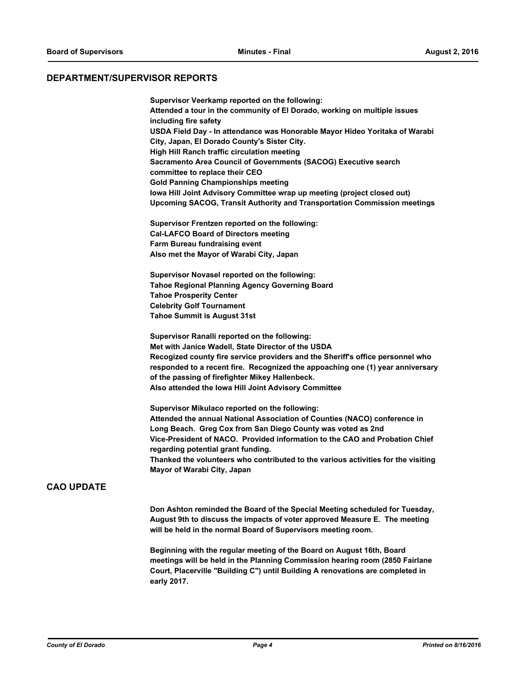#### **DEPARTMENT/SUPERVISOR REPORTS**

**Supervisor Veerkamp reported on the following: Attended a tour in the community of El Dorado, working on multiple issues including fire safety USDA Field Day - In attendance was Honorable Mayor Hideo Yoritaka of Warabi City, Japan, El Dorado County's Sister City. High Hill Ranch traffic circulation meeting Sacramento Area Council of Governments (SACOG) Executive search committee to replace their CEO Gold Panning Championships meeting Iowa Hill Joint Advisory Committee wrap up meeting (project closed out) Upcoming SACOG, Transit Authority and Transportation Commission meetings**

**Supervisor Frentzen reported on the following: Cal-LAFCO Board of Directors meeting Farm Bureau fundraising event Also met the Mayor of Warabi City, Japan**

**Supervisor Novasel reported on the following: Tahoe Regional Planning Agency Governing Board Tahoe Prosperity Center Celebrity Golf Tournament Tahoe Summit is August 31st**

**Supervisor Ranalli reported on the following: Met with Janice Wadell, State Director of the USDA Recogized county fire service providers and the Sheriff's office personnel who responded to a recent fire. Recognized the appoaching one (1) year anniversary of the passing of firefighter Mikey Hallenbeck. Also attended the Iowa Hill Joint Advisory Committee**

**Supervisor Mikulaco reported on the following: Attended the annual National Association of Counties (NACO) conference in Long Beach. Greg Cox from San Diego County was voted as 2nd Vice-President of NACO. Provided information to the CAO and Probation Chief regarding potential grant funding. Thanked the volunteers who contributed to the various activities for the visiting Mayor of Warabi City, Japan**

#### **CAO UPDATE**

**Don Ashton reminded the Board of the Special Meeting scheduled for Tuesday, August 9th to discuss the impacts of voter approved Measure E. The meeting will be held in the normal Board of Supervisors meeting room.**

**Beginning with the regular meeting of the Board on August 16th, Board meetings will be held in the Planning Commission hearing room (2850 Fairlane Court, Placerville "Building C") until Building A renovations are completed in early 2017.**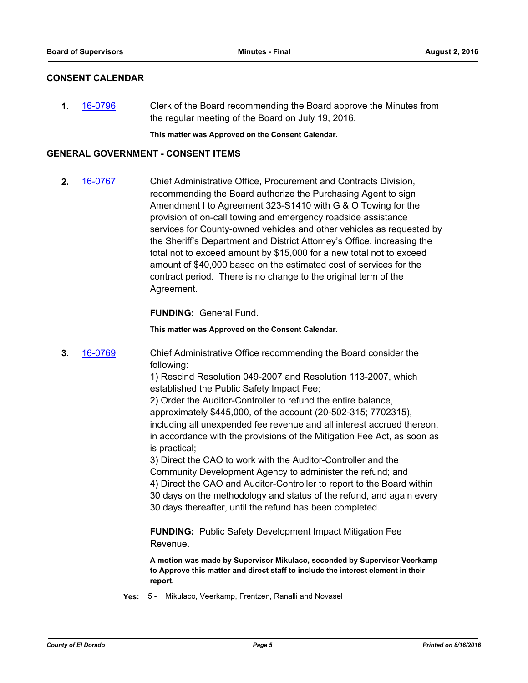#### **CONSENT CALENDAR**

**1.** [16-0796](http://eldorado.legistar.com/gateway.aspx?m=l&id=/matter.aspx?key=21454) Clerk of the Board recommending the Board approve the Minutes from the regular meeting of the Board on July 19, 2016.

**This matter was Approved on the Consent Calendar.**

#### **GENERAL GOVERNMENT - CONSENT ITEMS**

**2.** [16-0767](http://eldorado.legistar.com/gateway.aspx?m=l&id=/matter.aspx?key=21425) Chief Administrative Office, Procurement and Contracts Division, recommending the Board authorize the Purchasing Agent to sign Amendment I to Agreement 323-S1410 with G & O Towing for the provision of on-call towing and emergency roadside assistance services for County-owned vehicles and other vehicles as requested by the Sheriff's Department and District Attorney's Office, increasing the total not to exceed amount by \$15,000 for a new total not to exceed amount of \$40,000 based on the estimated cost of services for the contract period. There is no change to the original term of the Agreement.

**FUNDING:** General Fund**.**

**This matter was Approved on the Consent Calendar.**

**3.** [16-0769](http://eldorado.legistar.com/gateway.aspx?m=l&id=/matter.aspx?key=21427) Chief Administrative Office recommending the Board consider the following:

> 1) Rescind Resolution 049-2007 and Resolution 113-2007, which established the Public Safety Impact Fee;

2) Order the Auditor-Controller to refund the entire balance, approximately \$445,000, of the account (20-502-315; 7702315), including all unexpended fee revenue and all interest accrued thereon, in accordance with the provisions of the Mitigation Fee Act, as soon as is practical;

3) Direct the CAO to work with the Auditor-Controller and the Community Development Agency to administer the refund; and 4) Direct the CAO and Auditor-Controller to report to the Board within 30 days on the methodology and status of the refund, and again every 30 days thereafter, until the refund has been completed.

**FUNDING:** Public Safety Development Impact Mitigation Fee Revenue.

**A motion was made by Supervisor Mikulaco, seconded by Supervisor Veerkamp to Approve this matter and direct staff to include the interest element in their report.**

**Yes:** 5 - Mikulaco, Veerkamp, Frentzen, Ranalli and Novasel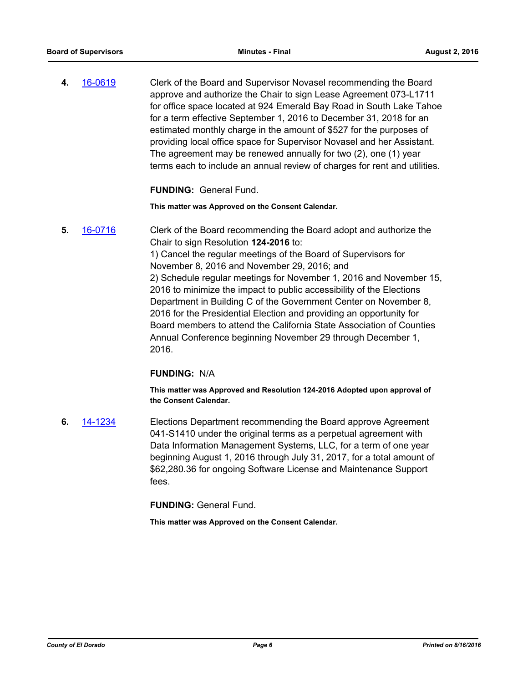**4.** [16-0619](http://eldorado.legistar.com/gateway.aspx?m=l&id=/matter.aspx?key=21277) Clerk of the Board and Supervisor Novasel recommending the Board approve and authorize the Chair to sign Lease Agreement 073-L1711 for office space located at 924 Emerald Bay Road in South Lake Tahoe for a term effective September 1, 2016 to December 31, 2018 for an estimated monthly charge in the amount of \$527 for the purposes of providing local office space for Supervisor Novasel and her Assistant. The agreement may be renewed annually for two (2), one (1) year terms each to include an annual review of charges for rent and utilities.

**FUNDING:** General Fund.

**This matter was Approved on the Consent Calendar.**

**5.** [16-0716](http://eldorado.legistar.com/gateway.aspx?m=l&id=/matter.aspx?key=21374) Clerk of the Board recommending the Board adopt and authorize the Chair to sign Resolution **124-2016** to: 1) Cancel the regular meetings of the Board of Supervisors for November 8, 2016 and November 29, 2016; and 2) Schedule regular meetings for November 1, 2016 and November 15, 2016 to minimize the impact to public accessibility of the Elections Department in Building C of the Government Center on November 8, 2016 for the Presidential Election and providing an opportunity for Board members to attend the California State Association of Counties Annual Conference beginning November 29 through December 1, 2016.

#### **FUNDING:** N/A

**This matter was Approved and Resolution 124-2016 Adopted upon approval of the Consent Calendar.**

**6.** [14-1234](http://eldorado.legistar.com/gateway.aspx?m=l&id=/matter.aspx?key=18718) Elections Department recommending the Board approve Agreement 041-S1410 under the original terms as a perpetual agreement with Data Information Management Systems, LLC, for a term of one year beginning August 1, 2016 through July 31, 2017, for a total amount of \$62,280.36 for ongoing Software License and Maintenance Support fees.

**FUNDING:** General Fund.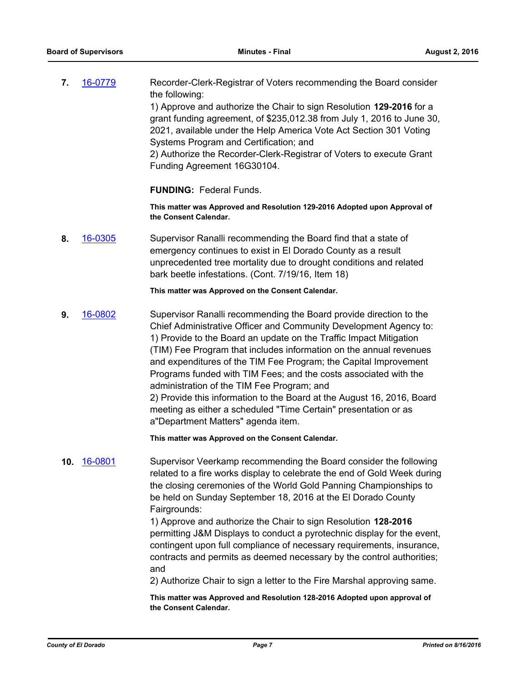**7.** [16-0779](http://eldorado.legistar.com/gateway.aspx?m=l&id=/matter.aspx?key=21437) Recorder-Clerk-Registrar of Voters recommending the Board consider the following: 1) Approve and authorize the Chair to sign Resolution **129-2016** for a grant funding agreement, of \$235,012.38 from July 1, 2016 to June 30, 2021, available under the Help America Vote Act Section 301 Voting Systems Program and Certification; and 2) Authorize the Recorder-Clerk-Registrar of Voters to execute Grant Funding Agreement 16G30104.

**FUNDING:** Federal Funds.

**This matter was Approved and Resolution 129-2016 Adopted upon Approval of the Consent Calendar.**

**8.** [16-0305](http://eldorado.legistar.com/gateway.aspx?m=l&id=/matter.aspx?key=20961) Supervisor Ranalli recommending the Board find that a state of emergency continues to exist in El Dorado County as a result unprecedented tree mortality due to drought conditions and related bark beetle infestations. (Cont. 7/19/16, Item 18)

#### **This matter was Approved on the Consent Calendar.**

**9.** [16-0802](http://eldorado.legistar.com/gateway.aspx?m=l&id=/matter.aspx?key=21460) Supervisor Ranalli recommending the Board provide direction to the Chief Administrative Officer and Community Development Agency to: 1) Provide to the Board an update on the Traffic Impact Mitigation (TIM) Fee Program that includes information on the annual revenues and expenditures of the TIM Fee Program; the Capital Improvement Programs funded with TIM Fees; and the costs associated with the administration of the TIM Fee Program; and 2) Provide this information to the Board at the August 16, 2016, Board meeting as either a scheduled "Time Certain" presentation or as a"Department Matters" agenda item.

**This matter was Approved on the Consent Calendar.**

**10.** [16-0801](http://eldorado.legistar.com/gateway.aspx?m=l&id=/matter.aspx?key=21459) Supervisor Veerkamp recommending the Board consider the following related to a fire works display to celebrate the end of Gold Week during the closing ceremonies of the World Gold Panning Championships to be held on Sunday September 18, 2016 at the El Dorado County Fairgrounds:

> 1) Approve and authorize the Chair to sign Resolution **128-2016** permitting J&M Displays to conduct a pyrotechnic display for the event, contingent upon full compliance of necessary requirements, insurance, contracts and permits as deemed necessary by the control authorities; and

2) Authorize Chair to sign a letter to the Fire Marshal approving same.

**This matter was Approved and Resolution 128-2016 Adopted upon approval of the Consent Calendar.**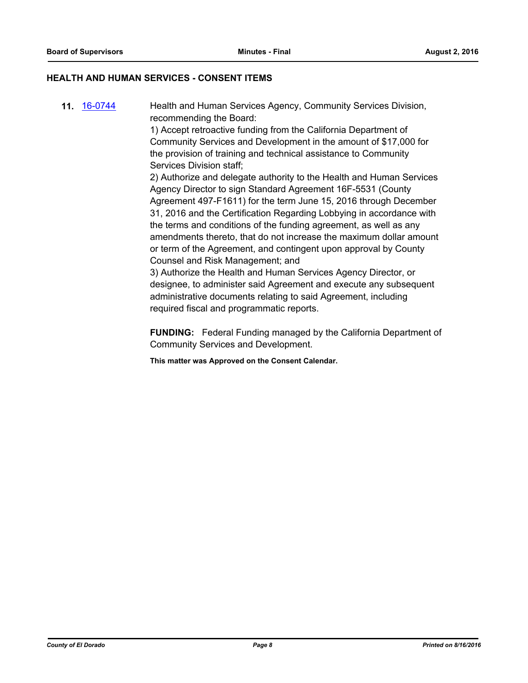#### **HEALTH AND HUMAN SERVICES - CONSENT ITEMS**

**11.** [16-0744](http://eldorado.legistar.com/gateway.aspx?m=l&id=/matter.aspx?key=21402) Health and Human Services Agency, Community Services Division, recommending the Board:

> 1) Accept retroactive funding from the California Department of Community Services and Development in the amount of \$17,000 for the provision of training and technical assistance to Community Services Division staff;

2) Authorize and delegate authority to the Health and Human Services Agency Director to sign Standard Agreement 16F-5531 (County Agreement 497-F1611) for the term June 15, 2016 through December 31, 2016 and the Certification Regarding Lobbying in accordance with the terms and conditions of the funding agreement, as well as any amendments thereto, that do not increase the maximum dollar amount or term of the Agreement, and contingent upon approval by County Counsel and Risk Management; and

3) Authorize the Health and Human Services Agency Director, or designee, to administer said Agreement and execute any subsequent administrative documents relating to said Agreement, including required fiscal and programmatic reports.

**FUNDING:** Federal Funding managed by the California Department of Community Services and Development.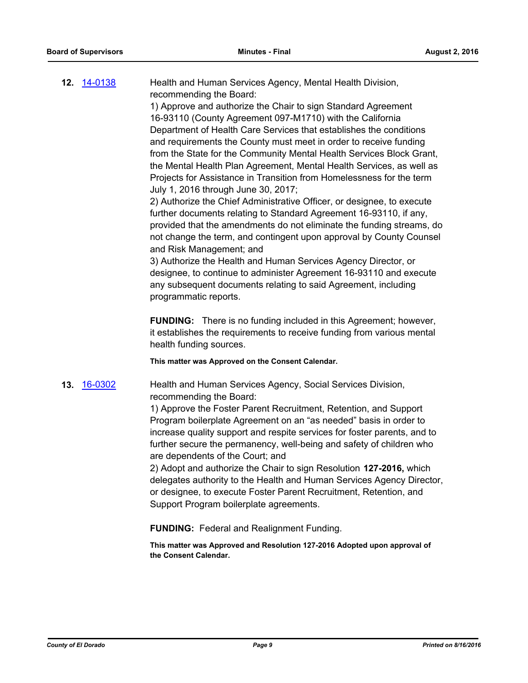**12.** [14-0138](http://eldorado.legistar.com/gateway.aspx?m=l&id=/matter.aspx?key=17621) Health and Human Services Agency, Mental Health Division, recommending the Board:

1) Approve and authorize the Chair to sign Standard Agreement 16-93110 (County Agreement 097-M1710) with the California Department of Health Care Services that establishes the conditions and requirements the County must meet in order to receive funding from the State for the Community Mental Health Services Block Grant, the Mental Health Plan Agreement, Mental Health Services, as well as Projects for Assistance in Transition from Homelessness for the term July 1, 2016 through June 30, 2017;

2) Authorize the Chief Administrative Officer, or designee, to execute further documents relating to Standard Agreement 16-93110, if any, provided that the amendments do not eliminate the funding streams, do not change the term, and contingent upon approval by County Counsel and Risk Management; and

3) Authorize the Health and Human Services Agency Director, or designee, to continue to administer Agreement 16-93110 and execute any subsequent documents relating to said Agreement, including programmatic reports.

**FUNDING:** There is no funding included in this Agreement; however, it establishes the requirements to receive funding from various mental health funding sources.

**This matter was Approved on the Consent Calendar.**

**13.** [16-0302](http://eldorado.legistar.com/gateway.aspx?m=l&id=/matter.aspx?key=20958) Health and Human Services Agency, Social Services Division, recommending the Board:

> 1) Approve the Foster Parent Recruitment, Retention, and Support Program boilerplate Agreement on an "as needed" basis in order to increase quality support and respite services for foster parents, and to further secure the permanency, well-being and safety of children who are dependents of the Court; and

2) Adopt and authorize the Chair to sign Resolution **127-2016,** which delegates authority to the Health and Human Services Agency Director, or designee, to execute Foster Parent Recruitment, Retention, and Support Program boilerplate agreements.

**FUNDING:** Federal and Realignment Funding.

**This matter was Approved and Resolution 127-2016 Adopted upon approval of the Consent Calendar.**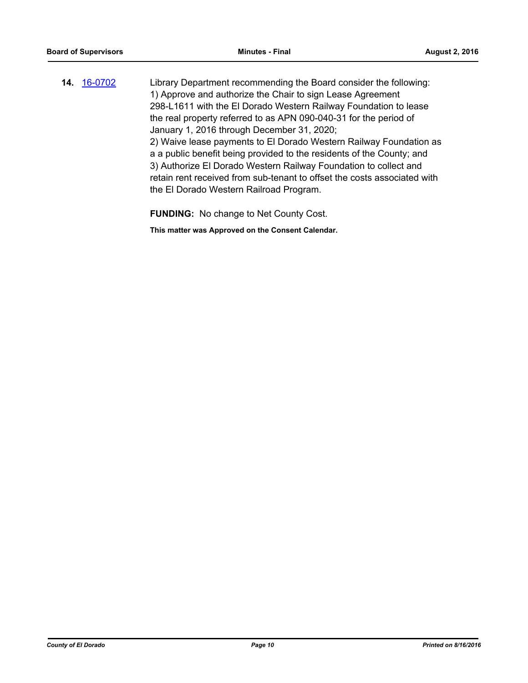**14.** [16-0702](http://eldorado.legistar.com/gateway.aspx?m=l&id=/matter.aspx?key=21360) Library Department recommending the Board consider the following: 1) Approve and authorize the Chair to sign Lease Agreement 298-L1611 with the El Dorado Western Railway Foundation to lease the real property referred to as APN 090-040-31 for the period of January 1, 2016 through December 31, 2020; 2) Waive lease payments to El Dorado Western Railway Foundation as a a public benefit being provided to the residents of the County; and 3) Authorize El Dorado Western Railway Foundation to collect and retain rent received from sub-tenant to offset the costs associated with the El Dorado Western Railroad Program.

**FUNDING:** No change to Net County Cost.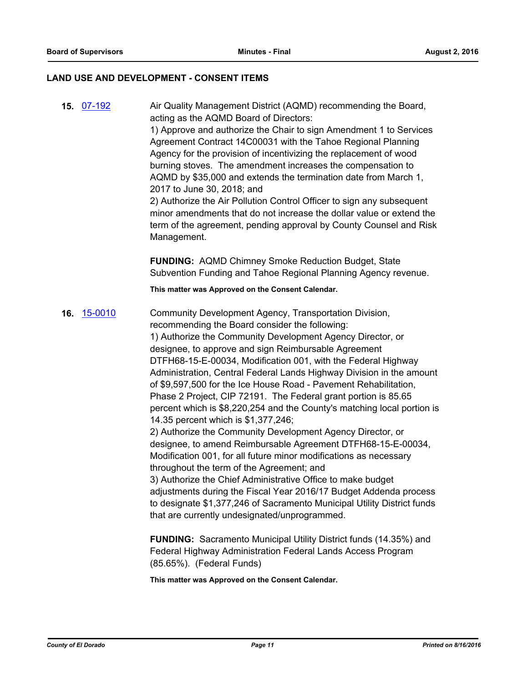#### **LAND USE AND DEVELOPMENT - CONSENT ITEMS**

**15.** [07-192](http://eldorado.legistar.com/gateway.aspx?m=l&id=/matter.aspx?key=4404) Air Quality Management District (AQMD) recommending the Board, acting as the AQMD Board of Directors: 1) Approve and authorize the Chair to sign Amendment 1 to Services Agreement Contract 14C00031 with the Tahoe Regional Planning Agency for the provision of incentivizing the replacement of wood burning stoves. The amendment increases the compensation to AQMD by \$35,000 and extends the termination date from March 1, 2017 to June 30, 2018; and 2) Authorize the Air Pollution Control Officer to sign any subsequent minor amendments that do not increase the dollar value or extend the term of the agreement, pending approval by County Counsel and Risk Management. **FUNDING:** AQMD Chimney Smoke Reduction Budget, State Subvention Funding and Tahoe Regional Planning Agency revenue. **This matter was Approved on the Consent Calendar. 16.** [15-0010](http://eldorado.legistar.com/gateway.aspx?m=l&id=/matter.aspx?key=19189) Community Development Agency, Transportation Division, recommending the Board consider the following: 1) Authorize the Community Development Agency Director, or designee, to approve and sign Reimbursable Agreement DTFH68-15-E-00034, Modification 001, with the Federal Highway Administration, Central Federal Lands Highway Division in the amount of \$9,597,500 for the Ice House Road - Pavement Rehabilitation, Phase 2 Project, CIP 72191. The Federal grant portion is 85.65 percent which is \$8,220,254 and the County's matching local portion is 14.35 percent which is \$1,377,246; 2) Authorize the Community Development Agency Director, or designee, to amend Reimbursable Agreement DTFH68-15-E-00034, Modification 001, for all future minor modifications as necessary throughout the term of the Agreement; and 3) Authorize the Chief Administrative Office to make budget adjustments during the Fiscal Year 2016/17 Budget Addenda process to designate \$1,377,246 of Sacramento Municipal Utility District funds that are currently undesignated/unprogrammed. **FUNDING:** Sacramento Municipal Utility District funds (14.35%) and Federal Highway Administration Federal Lands Access Program (85.65%). (Federal Funds)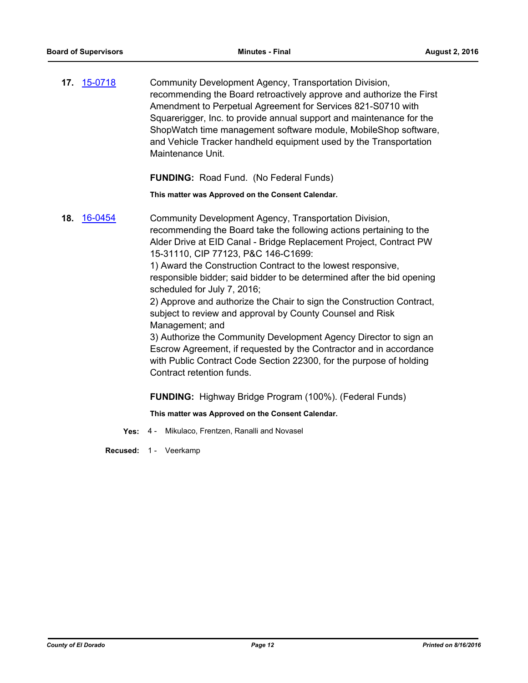**17.** [15-0718](http://eldorado.legistar.com/gateway.aspx?m=l&id=/matter.aspx?key=19892) Community Development Agency, Transportation Division, recommending the Board retroactively approve and authorize the First Amendment to Perpetual Agreement for Services 821-S0710 with Squarerigger, Inc. to provide annual support and maintenance for the ShopWatch time management software module, MobileShop software, and Vehicle Tracker handheld equipment used by the Transportation Maintenance Unit.

**FUNDING:** Road Fund. (No Federal Funds)

**This matter was Approved on the Consent Calendar.**

**18.** [16-0454](http://eldorado.legistar.com/gateway.aspx?m=l&id=/matter.aspx?key=21111) Community Development Agency, Transportation Division, recommending the Board take the following actions pertaining to the Alder Drive at EID Canal - Bridge Replacement Project, Contract PW 15-31110, CIP 77123, P&C 146-C1699: 1) Award the Construction Contract to the lowest responsive, responsible bidder; said bidder to be determined after the bid opening scheduled for July 7, 2016; 2) Approve and authorize the Chair to sign the Construction Contract, subject to review and approval by County Counsel and Risk Management; and 3) Authorize the Community Development Agency Director to sign an Escrow Agreement, if requested by the Contractor and in accordance with Public Contract Code Section 22300, for the purpose of holding Contract retention funds.

**FUNDING:** Highway Bridge Program (100%). (Federal Funds)

**This matter was Approved on the Consent Calendar.**

**Yes:** 4 - Mikulaco, Frentzen, Ranalli and Novasel

**Recused:** 1 - Veerkamp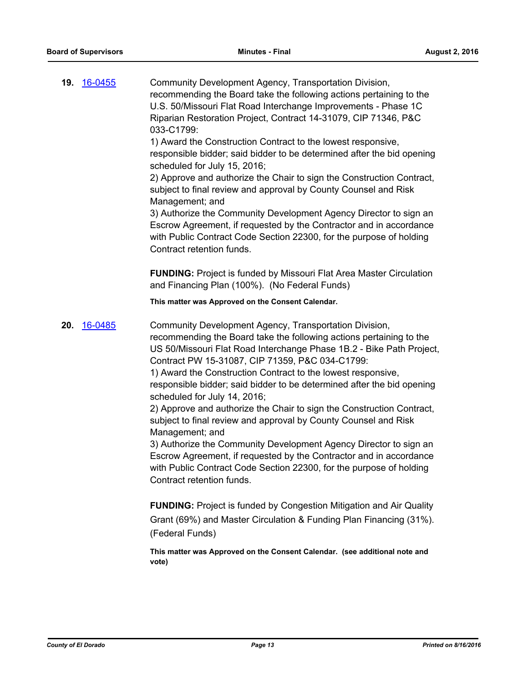| 19. 16-0455 | Community Development Agency, Transportation Division,<br>recommending the Board take the following actions pertaining to the<br>U.S. 50/Missouri Flat Road Interchange Improvements - Phase 1C<br>Riparian Restoration Project, Contract 14-31079, CIP 71346, P&C<br>033-C1799:<br>1) Award the Construction Contract to the lowest responsive,<br>responsible bidder; said bidder to be determined after the bid opening<br>scheduled for July 15, 2016;<br>2) Approve and authorize the Chair to sign the Construction Contract,<br>subject to final review and approval by County Counsel and Risk<br>Management; and<br>3) Authorize the Community Development Agency Director to sign an<br>Escrow Agreement, if requested by the Contractor and in accordance<br>with Public Contract Code Section 22300, for the purpose of holding<br>Contract retention funds.<br><b>FUNDING:</b> Project is funded by Missouri Flat Area Master Circulation<br>and Financing Plan (100%). (No Federal Funds)                                                                                                        |
|-------------|----------------------------------------------------------------------------------------------------------------------------------------------------------------------------------------------------------------------------------------------------------------------------------------------------------------------------------------------------------------------------------------------------------------------------------------------------------------------------------------------------------------------------------------------------------------------------------------------------------------------------------------------------------------------------------------------------------------------------------------------------------------------------------------------------------------------------------------------------------------------------------------------------------------------------------------------------------------------------------------------------------------------------------------------------------------------------------------------------------------|
|             | This matter was Approved on the Consent Calendar.                                                                                                                                                                                                                                                                                                                                                                                                                                                                                                                                                                                                                                                                                                                                                                                                                                                                                                                                                                                                                                                              |
| 20. 16-0485 | Community Development Agency, Transportation Division,<br>recommending the Board take the following actions pertaining to the<br>US 50/Missouri Flat Road Interchange Phase 1B.2 - Bike Path Project,<br>Contract PW 15-31087, CIP 71359, P&C 034-C1799:<br>1) Award the Construction Contract to the lowest responsive,<br>responsible bidder; said bidder to be determined after the bid opening<br>scheduled for July 14, 2016;<br>2) Approve and authorize the Chair to sign the Construction Contract,<br>subject to final review and approval by County Counsel and Risk<br>Management; and<br>3) Authorize the Community Development Agency Director to sign an<br>Escrow Agreement, if requested by the Contractor and in accordance<br>with Public Contract Code Section 22300, for the purpose of holding<br>Contract retention funds.<br><b>FUNDING:</b> Project is funded by Congestion Mitigation and Air Quality<br>Grant (69%) and Master Circulation & Funding Plan Financing (31%).<br>(Federal Funds)<br>This matter was Approved on the Consent Calendar. (see additional note and<br>vote) |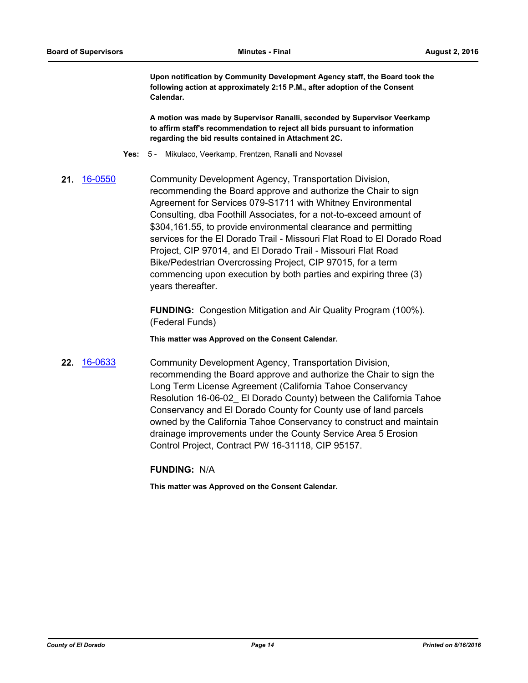**Upon notification by Community Development Agency staff, the Board took the following action at approximately 2:15 P.M., after adoption of the Consent Calendar.** 

**A motion was made by Supervisor Ranalli, seconded by Supervisor Veerkamp to affirm staff's recommendation to reject all bids pursuant to information regarding the bid results contained in Attachment 2C.**

- **Yes:** 5 Mikulaco, Veerkamp, Frentzen, Ranalli and Novasel
- **21.** [16-0550](http://eldorado.legistar.com/gateway.aspx?m=l&id=/matter.aspx?key=21208) Community Development Agency, Transportation Division, recommending the Board approve and authorize the Chair to sign Agreement for Services 079-S1711 with Whitney Environmental Consulting, dba Foothill Associates, for a not-to-exceed amount of \$304,161.55, to provide environmental clearance and permitting services for the El Dorado Trail - Missouri Flat Road to El Dorado Road Project, CIP 97014, and El Dorado Trail - Missouri Flat Road Bike/Pedestrian Overcrossing Project, CIP 97015, for a term commencing upon execution by both parties and expiring three (3) years thereafter.

**FUNDING:** Congestion Mitigation and Air Quality Program (100%). (Federal Funds)

**This matter was Approved on the Consent Calendar.**

**22.** [16-0633](http://eldorado.legistar.com/gateway.aspx?m=l&id=/matter.aspx?key=21291) Community Development Agency, Transportation Division, recommending the Board approve and authorize the Chair to sign the Long Term License Agreement (California Tahoe Conservancy Resolution 16-06-02\_ El Dorado County) between the California Tahoe Conservancy and El Dorado County for County use of land parcels owned by the California Tahoe Conservancy to construct and maintain drainage improvements under the County Service Area 5 Erosion Control Project, Contract PW 16-31118, CIP 95157.

**FUNDING:** N/A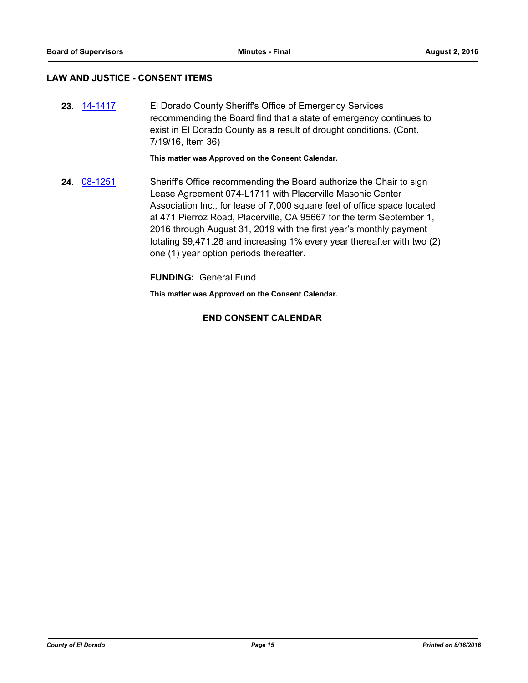#### **LAW AND JUSTICE - CONSENT ITEMS**

**23.** [14-1417](http://eldorado.legistar.com/gateway.aspx?m=l&id=/matter.aspx?key=18901) El Dorado County Sheriff's Office of Emergency Services recommending the Board find that a state of emergency continues to exist in El Dorado County as a result of drought conditions. (Cont. 7/19/16, Item 36)

**This matter was Approved on the Consent Calendar.**

**24.** [08-1251](http://eldorado.legistar.com/gateway.aspx?m=l&id=/matter.aspx?key=8652) Sheriff's Office recommending the Board authorize the Chair to sign Lease Agreement 074-L1711 with Placerville Masonic Center Association Inc., for lease of 7,000 square feet of office space located at 471 Pierroz Road, Placerville, CA 95667 for the term September 1, 2016 through August 31, 2019 with the first year's monthly payment totaling \$9,471.28 and increasing 1% every year thereafter with two (2) one (1) year option periods thereafter.

**FUNDING:** General Fund.

**This matter was Approved on the Consent Calendar.**

#### **END CONSENT CALENDAR**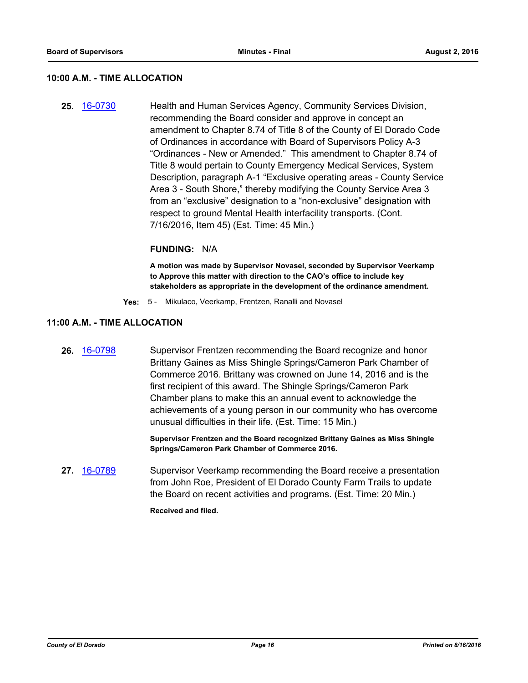#### **10:00 A.M. - TIME ALLOCATION**

**25.** [16-0730](http://eldorado.legistar.com/gateway.aspx?m=l&id=/matter.aspx?key=21388) Health and Human Services Agency, Community Services Division, recommending the Board consider and approve in concept an amendment to Chapter 8.74 of Title 8 of the County of El Dorado Code of Ordinances in accordance with Board of Supervisors Policy A-3 "Ordinances - New or Amended." This amendment to Chapter 8.74 of Title 8 would pertain to County Emergency Medical Services, System Description, paragraph A-1 "Exclusive operating areas - County Service Area 3 - South Shore," thereby modifying the County Service Area 3 from an "exclusive" designation to a "non-exclusive" designation with respect to ground Mental Health interfacility transports. (Cont. 7/16/2016, Item 45) (Est. Time: 45 Min.)

#### **FUNDING:** N/A

**A motion was made by Supervisor Novasel, seconded by Supervisor Veerkamp to Approve this matter with direction to the CAO's office to include key stakeholders as appropriate in the development of the ordinance amendment.**

**Yes:** 5 - Mikulaco, Veerkamp, Frentzen, Ranalli and Novasel

#### **11:00 A.M. - TIME ALLOCATION**

**26.** [16-0798](http://eldorado.legistar.com/gateway.aspx?m=l&id=/matter.aspx?key=21456) Supervisor Frentzen recommending the Board recognize and honor Brittany Gaines as Miss Shingle Springs/Cameron Park Chamber of Commerce 2016. Brittany was crowned on June 14, 2016 and is the first recipient of this award. The Shingle Springs/Cameron Park Chamber plans to make this an annual event to acknowledge the achievements of a young person in our community who has overcome unusual difficulties in their life. (Est. Time: 15 Min.)

> **Supervisor Frentzen and the Board recognized Brittany Gaines as Miss Shingle Springs/Cameron Park Chamber of Commerce 2016.**

**27.** [16-0789](http://eldorado.legistar.com/gateway.aspx?m=l&id=/matter.aspx?key=21447) Supervisor Veerkamp recommending the Board receive a presentation from John Roe, President of El Dorado County Farm Trails to update the Board on recent activities and programs. (Est. Time: 20 Min.)

**Received and filed.**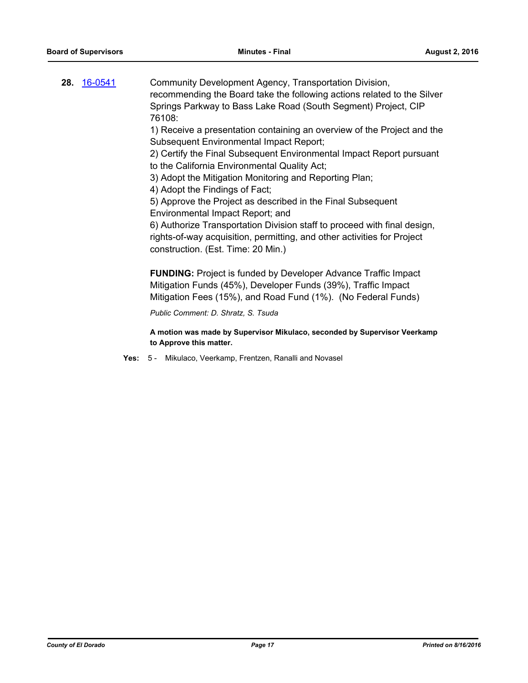| <b>28. 16-0541</b> | Community Development Agency, Transportation Division,<br>recommending the Board take the following actions related to the Silver<br>Springs Parkway to Bass Lake Road (South Segment) Project, CIP<br>76108:<br>1) Receive a presentation containing an overview of the Project and the |
|--------------------|------------------------------------------------------------------------------------------------------------------------------------------------------------------------------------------------------------------------------------------------------------------------------------------|
|                    | <b>Subsequent Environmental Impact Report;</b>                                                                                                                                                                                                                                           |
|                    | 2) Certify the Final Subsequent Environmental Impact Report pursuant<br>to the California Environmental Quality Act;                                                                                                                                                                     |
|                    | 3) Adopt the Mitigation Monitoring and Reporting Plan;                                                                                                                                                                                                                                   |
|                    | 4) Adopt the Findings of Fact;                                                                                                                                                                                                                                                           |
|                    | 5) Approve the Project as described in the Final Subsequent                                                                                                                                                                                                                              |
|                    | Environmental Impact Report; and                                                                                                                                                                                                                                                         |
|                    | 6) Authorize Transportation Division staff to proceed with final design,<br>rights-of-way acquisition, permitting, and other activities for Project<br>construction. (Est. Time: 20 Min.)                                                                                                |
|                    | <b>FUNDING:</b> Project is funded by Developer Advance Traffic Impact<br>Mitigation Funds (45%), Developer Funds (39%), Traffic Impact<br>Mitigation Fees (15%), and Road Fund (1%). (No Federal Funds)                                                                                  |
|                    | Public Comment: D. Shratz, S. Tsuda                                                                                                                                                                                                                                                      |

**A motion was made by Supervisor Mikulaco, seconded by Supervisor Veerkamp to Approve this matter.**

**Yes:** 5 - Mikulaco, Veerkamp, Frentzen, Ranalli and Novasel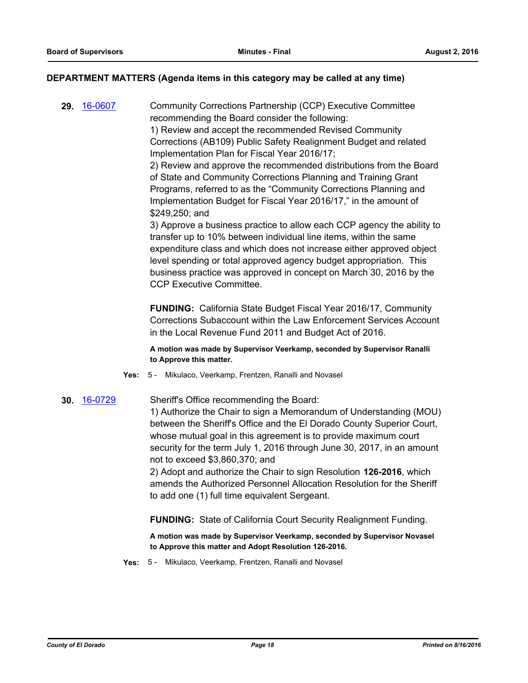#### **DEPARTMENT MATTERS (Agenda items in this category may be called at any time)**

**29.** [16-0607](http://eldorado.legistar.com/gateway.aspx?m=l&id=/matter.aspx?key=21265) Community Corrections Partnership (CCP) Executive Committee recommending the Board consider the following:

1) Review and accept the recommended Revised Community Corrections (AB109) Public Safety Realignment Budget and related Implementation Plan for Fiscal Year 2016/17;

2) Review and approve the recommended distributions from the Board of State and Community Corrections Planning and Training Grant Programs, referred to as the "Community Corrections Planning and Implementation Budget for Fiscal Year 2016/17," in the amount of \$249,250; and

3) Approve a business practice to allow each CCP agency the ability to transfer up to 10% between individual line items, within the same expenditure class and which does not increase either approved object level spending or total approved agency budget appropriation. This business practice was approved in concept on March 30, 2016 by the CCP Executive Committee.

**FUNDING:** California State Budget Fiscal Year 2016/17, Community Corrections Subaccount within the Law Enforcement Services Account in the Local Revenue Fund 2011 and Budget Act of 2016.

**A motion was made by Supervisor Veerkamp, seconded by Supervisor Ranalli to Approve this matter.**

**Yes:** 5 - Mikulaco, Veerkamp, Frentzen, Ranalli and Novasel

#### **30.** [16-0729](http://eldorado.legistar.com/gateway.aspx?m=l&id=/matter.aspx?key=21387) Sheriff's Office recommending the Board:

1) Authorize the Chair to sign a Memorandum of Understanding (MOU) between the Sheriff's Office and the El Dorado County Superior Court, whose mutual goal in this agreement is to provide maximum court security for the term July 1, 2016 through June 30, 2017, in an amount not to exceed \$3,860,370; and

2) Adopt and authorize the Chair to sign Resolution **126-2016**, which amends the Authorized Personnel Allocation Resolution for the Sheriff to add one (1) full time equivalent Sergeant.

**FUNDING:** State of California Court Security Realignment Funding.

**A motion was made by Supervisor Veerkamp, seconded by Supervisor Novasel to Approve this matter and Adopt Resolution 126-2016.**

**Yes:** 5 - Mikulaco, Veerkamp, Frentzen, Ranalli and Novasel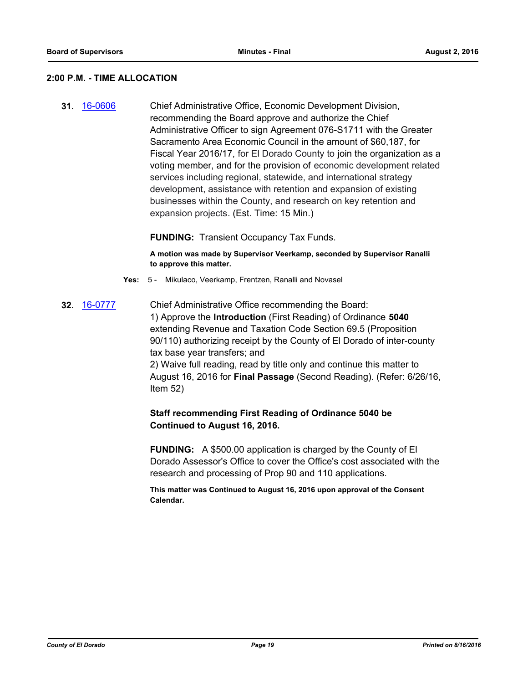#### **2:00 P.M. - TIME ALLOCATION**

**31.** [16-0606](http://eldorado.legistar.com/gateway.aspx?m=l&id=/matter.aspx?key=21264) Chief Administrative Office, Economic Development Division, recommending the Board approve and authorize the Chief Administrative Officer to sign Agreement 076-S1711 with the Greater Sacramento Area Economic Council in the amount of \$60,187, for Fiscal Year 2016/17, for El Dorado County to join the organization as a voting member, and for the provision of economic development related services including regional, statewide, and international strategy development, assistance with retention and expansion of existing businesses within the County, and research on key retention and expansion projects. (Est. Time: 15 Min.)

**FUNDING:** Transient Occupancy Tax Funds.

**A motion was made by Supervisor Veerkamp, seconded by Supervisor Ranalli to approve this matter.**

- **Yes:** 5 Mikulaco, Veerkamp, Frentzen, Ranalli and Novasel
- **32.** [16-0777](http://eldorado.legistar.com/gateway.aspx?m=l&id=/matter.aspx?key=21435) Chief Administrative Office recommending the Board: 1) Approve the **Introduction** (First Reading) of Ordinance **5040**  extending Revenue and Taxation Code Section 69.5 (Proposition 90/110) authorizing receipt by the County of El Dorado of inter-county tax base year transfers; and 2) Waive full reading, read by title only and continue this matter to August 16, 2016 for **Final Passage** (Second Reading). (Refer: 6/26/16, Item 52)

## **Staff recommending First Reading of Ordinance 5040 be Continued to August 16, 2016.**

**FUNDING:** A \$500.00 application is charged by the County of El Dorado Assessor's Office to cover the Office's cost associated with the research and processing of Prop 90 and 110 applications.

**This matter was Continued to August 16, 2016 upon approval of the Consent Calendar.**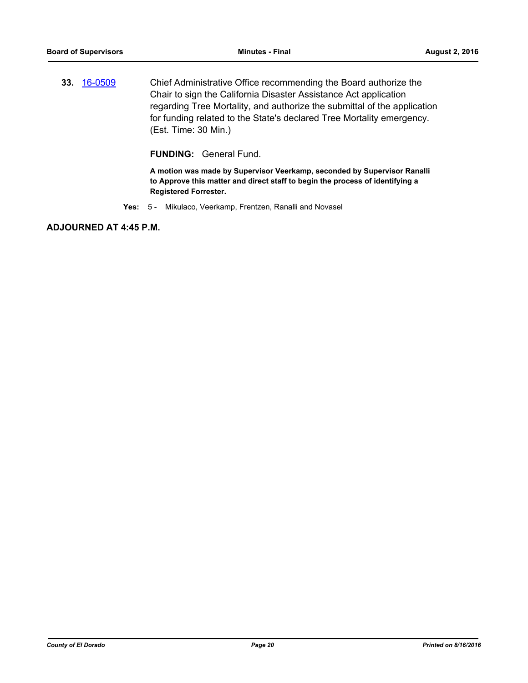**33.** [16-0509](http://eldorado.legistar.com/gateway.aspx?m=l&id=/matter.aspx?key=21167) Chief Administrative Office recommending the Board authorize the Chair to sign the California Disaster Assistance Act application regarding Tree Mortality, and authorize the submittal of the application for funding related to the State's declared Tree Mortality emergency. (Est. Time: 30 Min.)

**FUNDING:** General Fund.

**A motion was made by Supervisor Veerkamp, seconded by Supervisor Ranalli to Approve this matter and direct staff to begin the process of identifying a Registered Forrester.**

**Yes:** 5 - Mikulaco, Veerkamp, Frentzen, Ranalli and Novasel

**ADJOURNED AT 4:45 P.M.**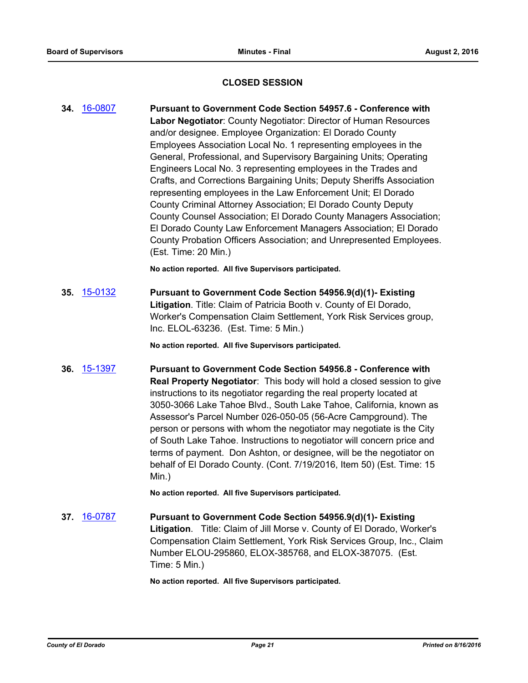#### **CLOSED SESSION**

**34.** [16-0807](http://eldorado.legistar.com/gateway.aspx?m=l&id=/matter.aspx?key=21465) **Pursuant to Government Code Section 54957.6 - Conference with Labor Negotiator**: County Negotiator: Director of Human Resources and/or designee. Employee Organization: El Dorado County Employees Association Local No. 1 representing employees in the General, Professional, and Supervisory Bargaining Units; Operating Engineers Local No. 3 representing employees in the Trades and Crafts, and Corrections Bargaining Units; Deputy Sheriffs Association representing employees in the Law Enforcement Unit; El Dorado County Criminal Attorney Association; El Dorado County Deputy County Counsel Association; El Dorado County Managers Association; El Dorado County Law Enforcement Managers Association; El Dorado County Probation Officers Association; and Unrepresented Employees. (Est. Time: 20 Min.)

**No action reported. All five Supervisors participated.**

**35.** [15-0132](http://eldorado.legistar.com/gateway.aspx?m=l&id=/matter.aspx?key=19311) **Pursuant to Government Code Section 54956.9(d)(1)- Existing Litigation**. Title: Claim of Patricia Booth v. County of El Dorado, Worker's Compensation Claim Settlement, York Risk Services group, Inc. ELOL-63236. (Est. Time: 5 Min.)

**No action reported. All five Supervisors participated.**

**36.** [15-1397](http://eldorado.legistar.com/gateway.aspx?m=l&id=/matter.aspx?key=20574) **Pursuant to Government Code Section 54956.8 - Conference with Real Property Negotiator**: This body will hold a closed session to give instructions to its negotiator regarding the real property located at 3050-3066 Lake Tahoe Blvd., South Lake Tahoe, California, known as Assessor's Parcel Number 026-050-05 (56-Acre Campground). The person or persons with whom the negotiator may negotiate is the City of South Lake Tahoe. Instructions to negotiator will concern price and terms of payment. Don Ashton, or designee, will be the negotiator on behalf of El Dorado County. (Cont. 7/19/2016, Item 50) (Est. Time: 15 Min.)

**No action reported. All five Supervisors participated.**

**37.** [16-0787](http://eldorado.legistar.com/gateway.aspx?m=l&id=/matter.aspx?key=21445) **Pursuant to Government Code Section 54956.9(d)(1)- Existing Litigation**. Title: Claim of Jill Morse v. County of El Dorado, Worker's Compensation Claim Settlement, York Risk Services Group, Inc., Claim Number ELOU-295860, ELOX-385768, and ELOX-387075. (Est. Time: 5 Min.)

**No action reported. All five Supervisors participated.**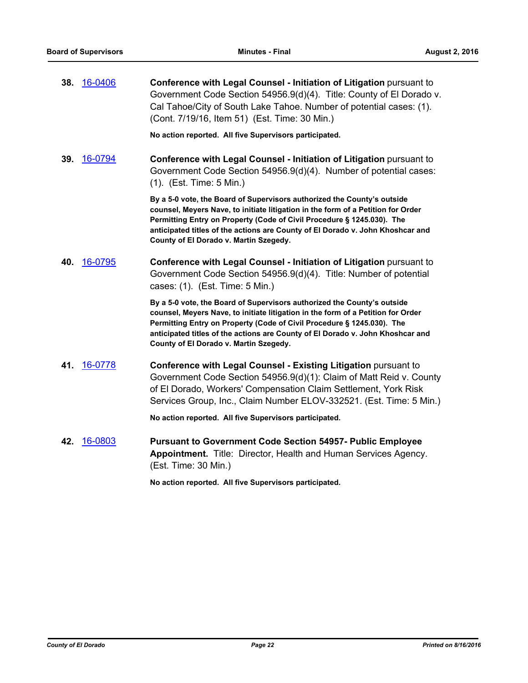**38.** [16-0406](http://eldorado.legistar.com/gateway.aspx?m=l&id=/matter.aspx?key=21063) **Conference with Legal Counsel - Initiation of Litigation** pursuant to Government Code Section 54956.9(d)(4). Title: County of El Dorado v. Cal Tahoe/City of South Lake Tahoe. Number of potential cases: (1). (Cont. 7/19/16, Item 51) (Est. Time: 30 Min.)

**No action reported. All five Supervisors participated.**

**39.** [16-0794](http://eldorado.legistar.com/gateway.aspx?m=l&id=/matter.aspx?key=21452) **Conference with Legal Counsel - Initiation of Litigation** pursuant to Government Code Section 54956.9(d)(4). Number of potential cases: (1). (Est. Time: 5 Min.)

> **By a 5-0 vote, the Board of Supervisors authorized the County's outside counsel, Meyers Nave, to initiate litigation in the form of a Petition for Order Permitting Entry on Property (Code of Civil Procedure § 1245.030). The anticipated titles of the actions are County of El Dorado v. John Khoshcar and County of El Dorado v. Martin Szegedy.**

**40.** [16-0795](http://eldorado.legistar.com/gateway.aspx?m=l&id=/matter.aspx?key=21453) **Conference with Legal Counsel - Initiation of Litigation** pursuant to Government Code Section 54956.9(d)(4). Title: Number of potential cases: (1). (Est. Time: 5 Min.)

> **By a 5-0 vote, the Board of Supervisors authorized the County's outside counsel, Meyers Nave, to initiate litigation in the form of a Petition for Order Permitting Entry on Property (Code of Civil Procedure § 1245.030). The anticipated titles of the actions are County of El Dorado v. John Khoshcar and County of El Dorado v. Martin Szegedy.**

**41.** [16-0778](http://eldorado.legistar.com/gateway.aspx?m=l&id=/matter.aspx?key=21436) **Conference with Legal Counsel - Existing Litigation** pursuant to Government Code Section 54956.9(d)(1): Claim of Matt Reid v. County of El Dorado, Workers' Compensation Claim Settlement, York Risk Services Group, Inc., Claim Number ELOV-332521. (Est. Time: 5 Min.)

**No action reported. All five Supervisors participated.**

**42.** [16-0803](http://eldorado.legistar.com/gateway.aspx?m=l&id=/matter.aspx?key=21461) **Pursuant to Government Code Section 54957- Public Employee Appointment.** Title: Director, Health and Human Services Agency. (Est. Time: 30 Min.)

**No action reported. All five Supervisors participated.**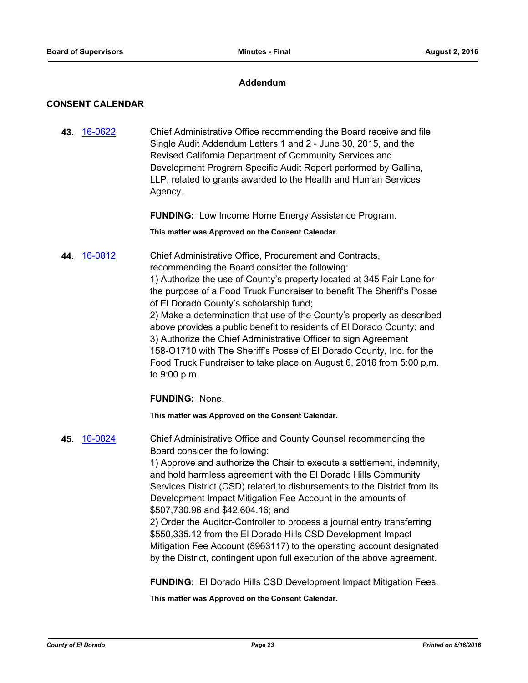#### **Addendum**

#### **CONSENT CALENDAR**

**43.** [16-0622](http://eldorado.legistar.com/gateway.aspx?m=l&id=/matter.aspx?key=21280) Chief Administrative Office recommending the Board receive and file Single Audit Addendum Letters 1 and 2 - June 30, 2015, and the Revised California Department of Community Services and Development Program Specific Audit Report performed by Gallina, LLP, related to grants awarded to the Health and Human Services Agency.

**FUNDING:** Low Income Home Energy Assistance Program.

**This matter was Approved on the Consent Calendar.**

**44.** [16-0812](http://eldorado.legistar.com/gateway.aspx?m=l&id=/matter.aspx?key=21470) Chief Administrative Office, Procurement and Contracts, recommending the Board consider the following: 1) Authorize the use of County's property located at 345 Fair Lane for the purpose of a Food Truck Fundraiser to benefit The Sheriff's Posse of El Dorado County's scholarship fund; 2) Make a determination that use of the County's property as described above provides a public benefit to residents of El Dorado County; and 3) Authorize the Chief Administrative Officer to sign Agreement 158-O1710 with The Sheriff's Posse of El Dorado County, Inc. for the Food Truck Fundraiser to take place on August 6, 2016 from 5:00 p.m.

**FUNDING:** None.

to 9:00 p.m.

**This matter was Approved on the Consent Calendar.**

**45.** [16-0824](http://eldorado.legistar.com/gateway.aspx?m=l&id=/matter.aspx?key=21482) Chief Administrative Office and County Counsel recommending the Board consider the following: 1) Approve and authorize the Chair to execute a settlement, indemnity, and hold harmless agreement with the El Dorado Hills Community Services District (CSD) related to disbursements to the District from its Development Impact Mitigation Fee Account in the amounts of \$507,730.96 and \$42,604.16; and 2) Order the Auditor-Controller to process a journal entry transferring \$550,335.12 from the El Dorado Hills CSD Development Impact Mitigation Fee Account (8963117) to the operating account designated by the District, contingent upon full execution of the above agreement.

**FUNDING:** El Dorado Hills CSD Development Impact Mitigation Fees.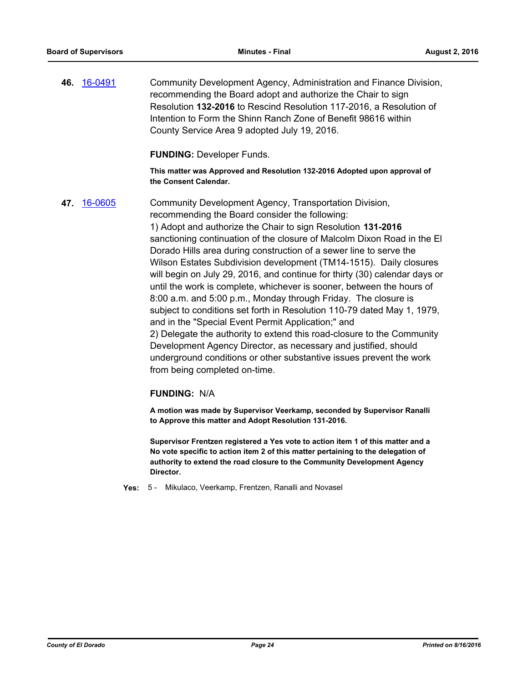**46.** [16-0491](http://eldorado.legistar.com/gateway.aspx?m=l&id=/matter.aspx?key=21148) Community Development Agency, Administration and Finance Division, recommending the Board adopt and authorize the Chair to sign Resolution **132-2016** to Rescind Resolution 117-2016, a Resolution of Intention to Form the Shinn Ranch Zone of Benefit 98616 within County Service Area 9 adopted July 19, 2016.

**FUNDING:** Developer Funds.

**This matter was Approved and Resolution 132-2016 Adopted upon approval of the Consent Calendar.**

**47.** [16-0605](http://eldorado.legistar.com/gateway.aspx?m=l&id=/matter.aspx?key=21263) Community Development Agency, Transportation Division, recommending the Board consider the following: 1) Adopt and authorize the Chair to sign Resolution **131-2016** sanctioning continuation of the closure of Malcolm Dixon Road in the El Dorado Hills area during construction of a sewer line to serve the Wilson Estates Subdivision development (TM14-1515). Daily closures will begin on July 29, 2016, and continue for thirty (30) calendar days or until the work is complete, whichever is sooner, between the hours of 8:00 a.m. and 5:00 p.m., Monday through Friday. The closure is subject to conditions set forth in Resolution 110-79 dated May 1, 1979, and in the "Special Event Permit Application;" and 2) Delegate the authority to extend this road-closure to the Community Development Agency Director, as necessary and justified, should underground conditions or other substantive issues prevent the work from being completed on-time.

#### **FUNDING:** N/A

**A motion was made by Supervisor Veerkamp, seconded by Supervisor Ranalli to Approve this matter and Adopt Resolution 131-2016.**

**Supervisor Frentzen registered a Yes vote to action item 1 of this matter and a No vote specific to action item 2 of this matter pertaining to the delegation of authority to extend the road closure to the Community Development Agency Director.**

**Yes:** 5 - Mikulaco, Veerkamp, Frentzen, Ranalli and Novasel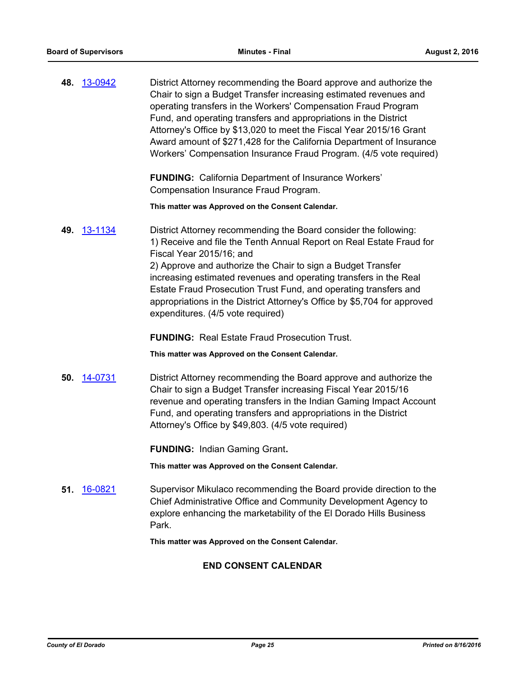|     | 48. 13-0942 | District Attorney recommending the Board approve and authorize the<br>Chair to sign a Budget Transfer increasing estimated revenues and<br>operating transfers in the Workers' Compensation Fraud Program<br>Fund, and operating transfers and appropriations in the District<br>Attorney's Office by \$13,020 to meet the Fiscal Year 2015/16 Grant<br>Award amount of \$271,428 for the California Department of Insurance<br>Workers' Compensation Insurance Fraud Program. (4/5 vote required) |
|-----|-------------|----------------------------------------------------------------------------------------------------------------------------------------------------------------------------------------------------------------------------------------------------------------------------------------------------------------------------------------------------------------------------------------------------------------------------------------------------------------------------------------------------|
|     |             | <b>FUNDING:</b> California Department of Insurance Workers'<br>Compensation Insurance Fraud Program.                                                                                                                                                                                                                                                                                                                                                                                               |
|     |             | This matter was Approved on the Consent Calendar.                                                                                                                                                                                                                                                                                                                                                                                                                                                  |
| 49. | 13-1134     | District Attorney recommending the Board consider the following:<br>1) Receive and file the Tenth Annual Report on Real Estate Fraud for<br>Fiscal Year 2015/16; and                                                                                                                                                                                                                                                                                                                               |
|     |             | 2) Approve and authorize the Chair to sign a Budget Transfer<br>increasing estimated revenues and operating transfers in the Real<br>Estate Fraud Prosecution Trust Fund, and operating transfers and<br>appropriations in the District Attorney's Office by \$5,704 for approved<br>expenditures. (4/5 vote required)                                                                                                                                                                             |
|     |             | <b>FUNDING: Real Estate Fraud Prosecution Trust.</b>                                                                                                                                                                                                                                                                                                                                                                                                                                               |
|     |             | This matter was Approved on the Consent Calendar.                                                                                                                                                                                                                                                                                                                                                                                                                                                  |
|     | 50. 14-0731 | District Attorney recommending the Board approve and authorize the<br>Chair to sign a Budget Transfer increasing Fiscal Year 2015/16<br>revenue and operating transfers in the Indian Gaming Impact Account<br>Fund, and operating transfers and appropriations in the District<br>Attorney's Office by \$49,803. (4/5 vote required)                                                                                                                                                              |
|     |             | <b>FUNDING: Indian Gaming Grant.</b>                                                                                                                                                                                                                                                                                                                                                                                                                                                               |
|     |             | This matter was Approved on the Consent Calendar.                                                                                                                                                                                                                                                                                                                                                                                                                                                  |
| 51. | 16-0821     | Supervisor Mikulaco recommending the Board provide direction to the<br>Chief Administrative Office and Community Development Agency to<br>explore enhancing the marketability of the El Dorado Hills Business<br>Park.                                                                                                                                                                                                                                                                             |

**This matter was Approved on the Consent Calendar.**

## **END CONSENT CALENDAR**